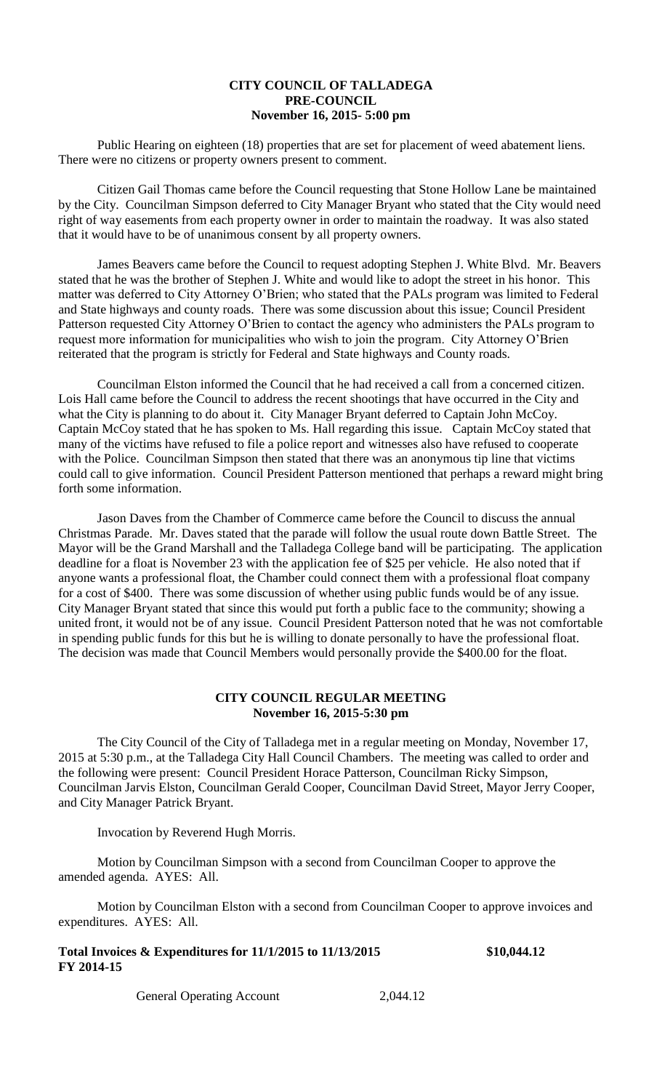# **CITY COUNCIL OF TALLADEGA PRE-COUNCIL November 16, 2015- 5:00 pm**

Public Hearing on eighteen (18) properties that are set for placement of weed abatement liens. There were no citizens or property owners present to comment.

Citizen Gail Thomas came before the Council requesting that Stone Hollow Lane be maintained by the City. Councilman Simpson deferred to City Manager Bryant who stated that the City would need right of way easements from each property owner in order to maintain the roadway. It was also stated that it would have to be of unanimous consent by all property owners.

James Beavers came before the Council to request adopting Stephen J. White Blvd. Mr. Beavers stated that he was the brother of Stephen J. White and would like to adopt the street in his honor. This matter was deferred to City Attorney O'Brien; who stated that the PALs program was limited to Federal and State highways and county roads. There was some discussion about this issue; Council President Patterson requested City Attorney O'Brien to contact the agency who administers the PALs program to request more information for municipalities who wish to join the program. City Attorney O'Brien reiterated that the program is strictly for Federal and State highways and County roads.

Councilman Elston informed the Council that he had received a call from a concerned citizen. Lois Hall came before the Council to address the recent shootings that have occurred in the City and what the City is planning to do about it. City Manager Bryant deferred to Captain John McCoy. Captain McCoy stated that he has spoken to Ms. Hall regarding this issue. Captain McCoy stated that many of the victims have refused to file a police report and witnesses also have refused to cooperate with the Police. Councilman Simpson then stated that there was an anonymous tip line that victims could call to give information. Council President Patterson mentioned that perhaps a reward might bring forth some information.

Jason Daves from the Chamber of Commerce came before the Council to discuss the annual Christmas Parade. Mr. Daves stated that the parade will follow the usual route down Battle Street. The Mayor will be the Grand Marshall and the Talladega College band will be participating. The application deadline for a float is November 23 with the application fee of \$25 per vehicle. He also noted that if anyone wants a professional float, the Chamber could connect them with a professional float company for a cost of \$400. There was some discussion of whether using public funds would be of any issue. City Manager Bryant stated that since this would put forth a public face to the community; showing a united front, it would not be of any issue. Council President Patterson noted that he was not comfortable in spending public funds for this but he is willing to donate personally to have the professional float. The decision was made that Council Members would personally provide the \$400.00 for the float.

# **CITY COUNCIL REGULAR MEETING November 16, 2015-5:30 pm**

The City Council of the City of Talladega met in a regular meeting on Monday, November 17, 2015 at 5:30 p.m., at the Talladega City Hall Council Chambers. The meeting was called to order and the following were present: Council President Horace Patterson, Councilman Ricky Simpson, Councilman Jarvis Elston, Councilman Gerald Cooper, Councilman David Street, Mayor Jerry Cooper, and City Manager Patrick Bryant.

Invocation by Reverend Hugh Morris.

Motion by Councilman Simpson with a second from Councilman Cooper to approve the amended agenda. AYES: All.

Motion by Councilman Elston with a second from Councilman Cooper to approve invoices and expenditures. AYES: All.

| Total Invoices $&$ Expenditures for 11/1/2015 to 11/13/2015 | \$10,044.12 |
|-------------------------------------------------------------|-------------|
| FY 2014-15                                                  |             |

General Operating Account 2,044.12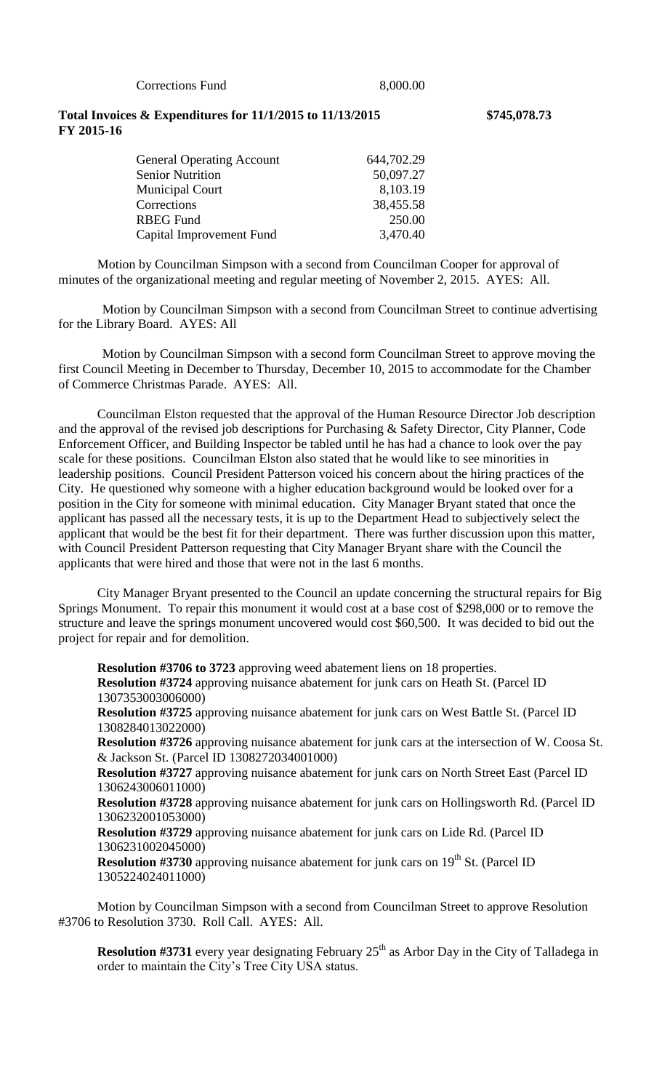Corrections Fund 8,000.00

### **Total Invoices & Expenditures for 11/1/2015 to 11/13/2015 \$745,078.73 FY 2015-16**

General Operating Account 644,702.29 Senior Nutrition 50,097.27 Municipal Court 8,103.19 Corrections 38,455.58 RBEG Fund 250.00 Capital Improvement Fund 3,470.40

Motion by Councilman Simpson with a second from Councilman Cooper for approval of minutes of the organizational meeting and regular meeting of November 2, 2015. AYES: All.

Motion by Councilman Simpson with a second from Councilman Street to continue advertising for the Library Board. AYES: All

Motion by Councilman Simpson with a second form Councilman Street to approve moving the first Council Meeting in December to Thursday, December 10, 2015 to accommodate for the Chamber of Commerce Christmas Parade. AYES: All.

Councilman Elston requested that the approval of the Human Resource Director Job description and the approval of the revised job descriptions for Purchasing & Safety Director, City Planner, Code Enforcement Officer, and Building Inspector be tabled until he has had a chance to look over the pay scale for these positions. Councilman Elston also stated that he would like to see minorities in leadership positions. Council President Patterson voiced his concern about the hiring practices of the City. He questioned why someone with a higher education background would be looked over for a position in the City for someone with minimal education. City Manager Bryant stated that once the applicant has passed all the necessary tests, it is up to the Department Head to subjectively select the applicant that would be the best fit for their department. There was further discussion upon this matter, with Council President Patterson requesting that City Manager Bryant share with the Council the applicants that were hired and those that were not in the last 6 months.

City Manager Bryant presented to the Council an update concerning the structural repairs for Big Springs Monument. To repair this monument it would cost at a base cost of \$298,000 or to remove the structure and leave the springs monument uncovered would cost \$60,500. It was decided to bid out the project for repair and for demolition.

**Resolution #3706 to 3723** approving weed abatement liens on 18 properties. **Resolution #3724** approving nuisance abatement for junk cars on Heath St. (Parcel ID 1307353003006000)

**Resolution #3725** approving nuisance abatement for junk cars on West Battle St. (Parcel ID 1308284013022000)

**Resolution #3726** approving nuisance abatement for junk cars at the intersection of W. Coosa St. & Jackson St. (Parcel ID 1308272034001000)

**Resolution #3727** approving nuisance abatement for junk cars on North Street East (Parcel ID 1306243006011000)

**Resolution #3728** approving nuisance abatement for junk cars on Hollingsworth Rd. (Parcel ID 1306232001053000)

**Resolution #3729** approving nuisance abatement for junk cars on Lide Rd. (Parcel ID 1306231002045000)

**Resolution #3730** approving nuisance abatement for junk cars on 19<sup>th</sup> St. (Parcel ID 1305224024011000)

Motion by Councilman Simpson with a second from Councilman Street to approve Resolution #3706 to Resolution 3730. Roll Call. AYES: All.

**Resolution #3731** every year designating February 25<sup>th</sup> as Arbor Day in the City of Talladega in order to maintain the City's Tree City USA status.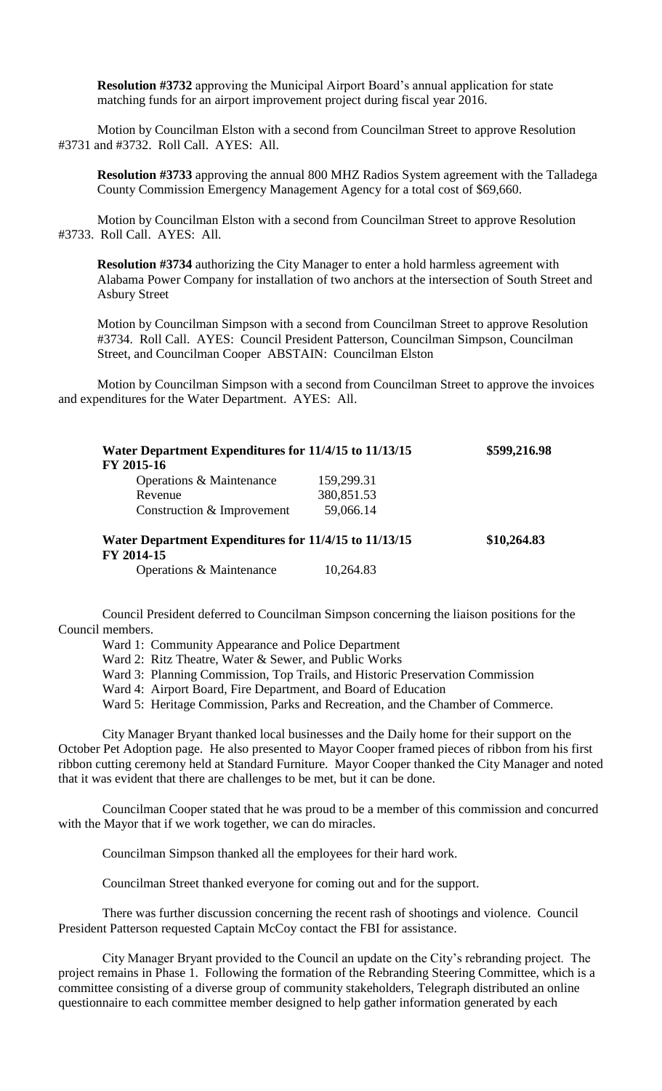**Resolution #3732** approving the Municipal Airport Board's annual application for state matching funds for an airport improvement project during fiscal year 2016.

Motion by Councilman Elston with a second from Councilman Street to approve Resolution #3731 and #3732. Roll Call. AYES: All.

**Resolution #3733** approving the annual 800 MHZ Radios System agreement with the Talladega County Commission Emergency Management Agency for a total cost of \$69,660.

Motion by Councilman Elston with a second from Councilman Street to approve Resolution #3733. Roll Call. AYES: All.

**Resolution #3734** authorizing the City Manager to enter a hold harmless agreement with Alabama Power Company for installation of two anchors at the intersection of South Street and Asbury Street

Motion by Councilman Simpson with a second from Councilman Street to approve Resolution #3734. Roll Call. AYES: Council President Patterson, Councilman Simpson, Councilman Street, and Councilman Cooper ABSTAIN: Councilman Elston

Motion by Councilman Simpson with a second from Councilman Street to approve the invoices and expenditures for the Water Department. AYES: All.

| Water Department Expenditures for 11/4/15 to 11/13/15<br>FY 2015-16 |            | \$599,216.98 |
|---------------------------------------------------------------------|------------|--------------|
| Operations & Maintenance                                            | 159,299.31 |              |
| Revenue                                                             | 380,851.53 |              |
| Construction & Improvement                                          | 59,066.14  |              |
| Water Department Expenditures for 11/4/15 to 11/13/15<br>FY 2014-15 |            | \$10,264.83  |

Operations & Maintenance 10,264.83

Council President deferred to Councilman Simpson concerning the liaison positions for the Council members.

Ward 1: Community Appearance and Police Department

Ward 2: Ritz Theatre, Water & Sewer, and Public Works

Ward 3: Planning Commission, Top Trails, and Historic Preservation Commission

Ward 4: Airport Board, Fire Department, and Board of Education

Ward 5: Heritage Commission, Parks and Recreation, and the Chamber of Commerce.

City Manager Bryant thanked local businesses and the Daily home for their support on the October Pet Adoption page. He also presented to Mayor Cooper framed pieces of ribbon from his first ribbon cutting ceremony held at Standard Furniture. Mayor Cooper thanked the City Manager and noted that it was evident that there are challenges to be met, but it can be done.

Councilman Cooper stated that he was proud to be a member of this commission and concurred with the Mayor that if we work together, we can do miracles.

Councilman Simpson thanked all the employees for their hard work.

Councilman Street thanked everyone for coming out and for the support.

There was further discussion concerning the recent rash of shootings and violence. Council President Patterson requested Captain McCoy contact the FBI for assistance.

City Manager Bryant provided to the Council an update on the City's rebranding project. The project remains in Phase 1. Following the formation of the Rebranding Steering Committee, which is a committee consisting of a diverse group of community stakeholders, Telegraph distributed an online questionnaire to each committee member designed to help gather information generated by each